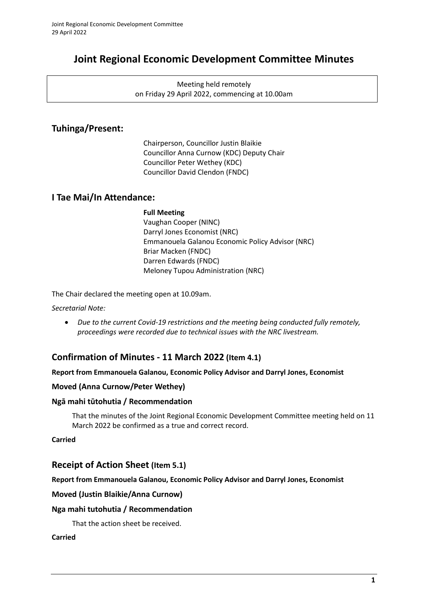# **Joint Regional Economic Development Committee Minutes**

Meeting held remotely on Friday 29 April 2022, commencing at 10.00am

### **Tuhinga/Present:**

Chairperson, Councillor Justin Blaikie Councillor Anna Curnow (KDC) Deputy Chair Councillor Peter Wethey (KDC) Councillor David Clendon (FNDC)

### **I Tae Mai/In Attendance:**

#### **Full Meeting**

Vaughan Cooper (NINC) Darryl Jones Economist (NRC) Emmanouela Galanou Economic Policy Advisor (NRC) Briar Macken (FNDC) Darren Edwards (FNDC) Meloney Tupou Administration (NRC)

The Chair declared the meeting open at 10.09am.

*Secretarial Note:* 

• *Due to the current Covid-19 restrictions and the meeting being conducted fully remotely, proceedings were recorded due to technical issues with the NRC livestream.*

## **Confirmation of Minutes - 11 March 2022 (Item 4.1)**

#### **Report from Emmanouela Galanou, Economic Policy Advisor and Darryl Jones, Economist**

#### **Moved (Anna Curnow/Peter Wethey)**

#### **Ngā mahi tūtohutia / Recommendation**

That the minutes of the Joint Regional Economic Development Committee meeting held on 11 March 2022 be confirmed as a true and correct record.

**Carried**

### **Receipt of Action Sheet (Item 5.1)**

#### **Report from Emmanouela Galanou, Economic Policy Advisor and Darryl Jones, Economist**

#### **Moved (Justin Blaikie/Anna Curnow)**

#### **Nga mahi tutohutia / Recommendation**

That the action sheet be received.

#### **Carried**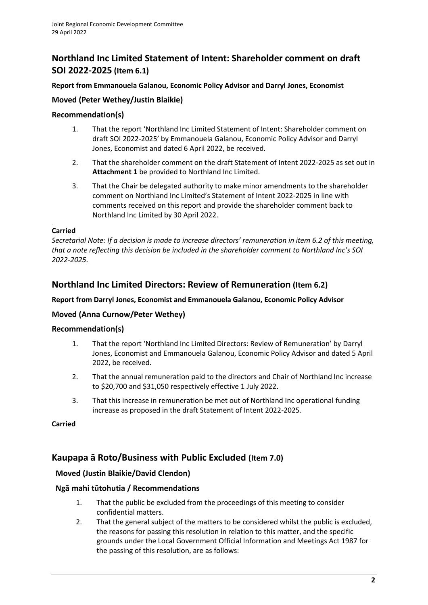# **Northland Inc Limited Statement of Intent: Shareholder comment on draft SOI 2022-2025 (Item 6.1)**

#### **Report from Emmanouela Galanou, Economic Policy Advisor and Darryl Jones, Economist**

### **Moved (Peter Wethey/Justin Blaikie)**

#### **Recommendation(s)**

- 1. That the report 'Northland Inc Limited Statement of Intent: Shareholder comment on draft SOI 2022-2025' by Emmanouela Galanou, Economic Policy Advisor and Darryl Jones, Economist and dated 6 April 2022, be received.
- 2. That the shareholder comment on the draft Statement of Intent 2022-2025 as set out in **Attachment 1** be provided to Northland Inc Limited.
- 3. That the Chair be delegated authority to make minor amendments to the shareholder comment on Northland Inc Limited's Statement of Intent 2022-2025 in line with comments received on this report and provide the shareholder comment back to Northland Inc Limited by 30 April 2022.

#### T **Carried**

*Secretarial Note: If a decision is made to increase directors' remuneration in item 6.2 of this meeting, that a note reflecting this decision be included in the shareholder comment to Northland Inc's SOI 2022-2025.*

### **Northland Inc Limited Directors: Review of Remuneration (Item 6.2)**

#### **Report from Darryl Jones, Economist and Emmanouela Galanou, Economic Policy Advisor**

### **Moved (Anna Curnow/Peter Wethey)**

#### **Recommendation(s)**

- 1. That the report 'Northland Inc Limited Directors: Review of Remuneration' by Darryl Jones, Economist and Emmanouela Galanou, Economic Policy Advisor and dated 5 April 2022, be received.
- 2. That the annual remuneration paid to the directors and Chair of Northland Inc increase to \$20,700 and \$31,050 respectively effective 1 July 2022.
- 3. That this increase in remuneration be met out of Northland Inc operational funding increase as proposed in the draft Statement of Intent 2022-2025.

#### **Carried**

### **Kaupapa ā Roto/Business with Public Excluded (Item 7.0)**

### **Moved (Justin Blaikie/David Clendon)**

#### **Ngā mahi tūtohutia / Recommendations**

- 1. That the public be excluded from the proceedings of this meeting to consider confidential matters.
- 2. That the general subject of the matters to be considered whilst the public is excluded, the reasons for passing this resolution in relation to this matter, and the specific grounds under the Local Government Official Information and Meetings Act 1987 for the passing of this resolution, are as follows: